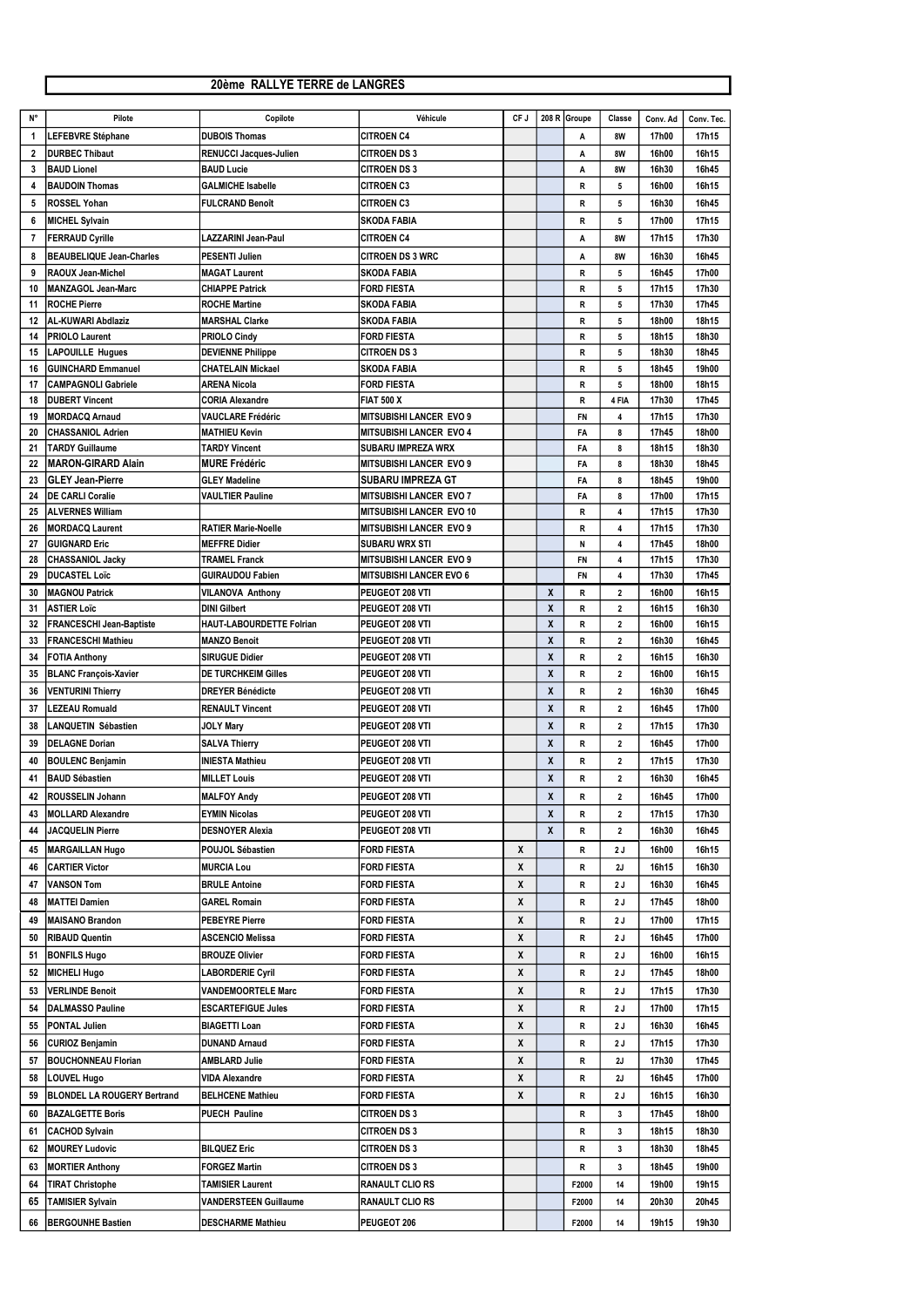## 20ème RALLYE TERRE de LANGRES

| $N^{\circ}$    | Pilote                             | Copilote                        | Véhicule                        | CF J               |                    | 208 R Groupe | Classe         | Conv. Ad | Conv. Tec. |
|----------------|------------------------------------|---------------------------------|---------------------------------|--------------------|--------------------|--------------|----------------|----------|------------|
| 1              | LEFEBVRE Stéphane                  | <b>DUBOIS Thomas</b>            | <b>CITROEN C4</b>               |                    |                    |              | 8W             | 17h00    | 17h15      |
|                |                                    |                                 |                                 |                    |                    | Α            |                |          |            |
| $\mathbf{2}$   | <b>DURBEC Thibaut</b>              | <b>RENUCCI Jacques-Julien</b>   | <b>CITROEN DS 3</b>             |                    |                    | Α            | 8W             | 16h00    | 16h15      |
| 3              | <b>BAUD Lionel</b>                 | <b>BAUD Lucie</b>               | <b>CITROEN DS 3</b>             |                    |                    | A            | <b>8W</b>      | 16h30    | 16h45      |
| 4              | <b>BAUDOIN Thomas</b>              | <b>GALMICHE Isabelle</b>        | <b>CITROEN C3</b>               |                    |                    | R            | 5              | 16h00    | 16h15      |
| 5              | <b>ROSSEL Yohan</b>                | <b>FULCRAND Benoît</b>          | <b>CITROEN C3</b>               |                    |                    | R            | 5              | 16h30    | 16h45      |
| 6              | MICHEL Sylvain                     |                                 | <b>SKODA FABIA</b>              |                    |                    | R            | 5              | 17h00    | 17h15      |
| $\overline{7}$ | <b>FERRAUD Cyrille</b>             | <b>LAZZARINI Jean-Paul</b>      | <b>CITROEN C4</b>               |                    |                    | A            | 8W             | 17h15    | 17h30      |
|                |                                    |                                 |                                 |                    |                    |              |                |          |            |
| 8              | <b>BEAUBELIQUE Jean-Charles</b>    | <b>PESENTI Julien</b>           | <b>CITROEN DS 3 WRC</b>         |                    |                    | Α            | 8W             | 16h30    | 16h45      |
| 9              | RAOUX Jean-Michel                  | <b>MAGAT Laurent</b>            | <b>SKODA FABIA</b>              |                    |                    | R            | 5              | 16h45    | 17h00      |
| 10             | <b>IMANZAGOL Jean-Marc</b>         | <b>CHIAPPE Patrick</b>          | <b>FORD FIESTA</b>              |                    |                    | R            | 5              | 17h15    | 17h30      |
| 11             | <b>ROCHE Pierre</b>                | <b>ROCHE Martine</b>            | <b>SKODA FABIA</b>              |                    |                    | R            | 5              | 17h30    | 17h45      |
| 12             | <b>AL-KUWARI Abdlaziz</b>          | <b>MARSHAL Clarke</b>           | <b>SKODA FABIA</b>              |                    |                    | R            | 5              | 18h00    | 18h15      |
| 14             | <b>PRIOLO Laurent</b>              | <b>PRIOLO Cindy</b>             | <b>FORD FIESTA</b>              |                    |                    | R            | 5              | 18h15    | 18h30      |
| 15             | <b>LAPOUILLE Hugues</b>            | <b>DEVIENNE Philippe</b>        | <b>CITROEN DS 3</b>             |                    |                    | R            | 5              | 18h30    | 18h45      |
| 16             | <b>GUINCHARD Emmanuel</b>          | <b>CHATELAIN Mickael</b>        | <b>SKODA FABIA</b>              |                    |                    | R            | 5              | 18h45    | 19h00      |
| 17             | <b>CAMPAGNOLI Gabriele</b>         | <b>ARENA Nicola</b>             | <b>FORD FIESTA</b>              |                    |                    | R            | 5              | 18h00    | 18h15      |
|                |                                    |                                 |                                 |                    |                    |              |                |          |            |
| 18             | <b>IDUBERT Vincent</b>             | <b>CORIA Alexandre</b>          | <b>FIAT 500 X</b>               |                    |                    | R            | 4 FIA          | 17h30    | 17h45      |
| 19             | <b>MORDACQ Arnaud</b>              | <b>VAUCLARE Frédéric</b>        | <b>MITSUBISHI LANCER EVO 9</b>  |                    |                    | <b>FN</b>    | 4              | 17h15    | 17h30      |
| 20             | <b>CHASSANIOL Adrien</b>           | <b>MATHIEU Kevin</b>            | <b>MITSUBISHI LANCER EVO 4</b>  |                    |                    | FA           | 8              | 17h45    | 18h00      |
| 21             | <b>TARDY Guillaume</b>             | <b>TARDY Vincent</b>            | <b>SUBARU IMPREZA WRX</b>       |                    |                    | FA           | 8              | 18h15    | 18h30      |
| 22             | MARON-GIRARD Alain                 | <b>MURE Frédéric</b>            | <b>MITSUBISHI LANCER EVO 9</b>  |                    |                    | FA           | 8              | 18h30    | 18h45      |
| 23             | <b>GLEY Jean-Pierre</b>            | <b>GLEY Madeline</b>            | <b>SUBARU IMPREZA GT</b>        |                    |                    | FA           | 8              | 18h45    | 19h00      |
| 24             | <b>DE CARLI Coralie</b>            | <b>VAULTIER Pauline</b>         | <b>MITSUBISHI LANCER EVO 7</b>  |                    |                    | FA           | 8              | 17h00    | 17h15      |
| 25             | <b>IALVERNES William</b>           |                                 | <b>MITSUBISHI LANCER EVO 10</b> |                    |                    | R            | 4              | 17h15    | 17h30      |
| 26             | MORDACQ Laurent                    | <b>RATIER Marie-Noelle</b>      | <b>MITSUBISHI LANCER EVO 9</b>  |                    |                    | R            | 4              | 17h15    | 17h30      |
|                |                                    |                                 |                                 |                    |                    |              |                |          |            |
| 27             | <b>GUIGNARD Eric</b>               | <b>MEFFRE Didier</b>            | <b>SUBARU WRX STI</b>           |                    |                    | N            | 4              | 17h45    | 18h00      |
| 28             | <b>CHASSANIOL Jacky</b>            | <b>TRAMEL Franck</b>            | <b>MITSUBISHI LANCER EVO 9</b>  |                    |                    | <b>FN</b>    | 4              | 17h15    | 17h30      |
| 29             | <b>DUCASTEL Loïc</b>               | <b>GUIRAUDOU Fabien</b>         | <b>MITSUBISHI LANCER EVO 6</b>  |                    |                    | <b>FN</b>    | 4              | 17h30    | 17h45      |
| 30             | <b>MAGNOU Patrick</b>              | <b>VILANOVA Anthony</b>         | PEUGEOT 208 VTI                 |                    | X                  | R            | $\mathbf{2}$   | 16h00    | 16h15      |
| 31             | <b>ASTIER Loïc</b>                 | <b>DINI Gilbert</b>             | PEUGEOT 208 VTI                 |                    | χ                  | R            | $\overline{2}$ | 16h15    | 16h30      |
| 32             | <b>FRANCESCHI Jean-Baptiste</b>    | <b>HAUT-LABOURDETTE Folrian</b> | PEUGEOT 208 VTI                 |                    | χ                  | R            | $\overline{2}$ | 16h00    | 16h15      |
| 33             | <b>FRANCESCHI Mathieu</b>          | <b>MANZO Benoit</b>             | PEUGEOT 208 VTI                 |                    | χ                  | R            | $\overline{2}$ | 16h30    | 16h45      |
| 34             | <b>FOTIA Anthony</b>               | <b>SIRUGUE Didier</b>           | PEUGEOT 208 VTI                 |                    | χ                  | R            | 2              | 16h15    | 16h30      |
|                |                                    | <b>DE TURCHKEIM Gilles</b>      | PEUGEOT 208 VTI                 |                    | χ                  | R            | $\overline{2}$ | 16h00    | 16h15      |
| 35             | <b>BLANC François-Xavier</b>       |                                 |                                 |                    |                    |              |                |          |            |
| 36             | <b>VENTURINI Thierry</b>           | <b>DREYER Bénédicte</b>         | PEUGEOT 208 VTI                 |                    | X                  | R            | $\mathbf{2}$   | 16h30    | 16h45      |
| 37             | <b>LEZEAU Romuald</b>              | <b>RENAULT Vincent</b>          | PEUGEOT 208 VTI                 |                    | $\pmb{\mathsf{X}}$ | R            | $\overline{2}$ | 16h45    | 17h00      |
| 38             | LANQUETIN Sébastien                | <b>JOLY Mary</b>                | PEUGEOT 208 VTI                 |                    | χ                  | R            | $\overline{2}$ | 17h15    | 17h30      |
| 39             | <b>DELAGNE Dorian</b>              | <b>SALVA Thierry</b>            | PEUGEOT 208 VTI                 |                    | X                  | R            | $\mathbf{2}$   | 16h45    | 17h00      |
|                |                                    |                                 |                                 |                    |                    |              |                |          |            |
| 40             | <b>BOULENC Benjamin</b>            | <b>INIESTA Mathieu</b>          | PEUGEOT 208 VTI                 |                    | χ                  | R            | $\overline{2}$ | 17h15    | 17h30      |
| 41             | <b>BAUD Sébastien</b>              | <b>MILLET Louis</b>             | PEUGEOT 208 VTI                 |                    | χ                  | R            | $\mathbf{2}$   | 16h30    | 16h45      |
| 42             | <b>ROUSSELIN Johann</b>            | <b>MALFOY Andy</b>              | PEUGEOT 208 VTI                 |                    | X                  | R            | $\mathbf{2}$   | 16h45    | 17h00      |
| 43             | <b>IMOLLARD Alexandre</b>          | <b>EYMIN Nicolas</b>            | PEUGEOT 208 VTI                 |                    | χ                  | R            | $\overline{2}$ | 17h15    | 17h30      |
| 44             | JACQUELIN Pierre                   | <b>DESNOYER Alexia</b>          | PEUGEOT 208 VTI                 |                    | χ                  | R            | $\overline{2}$ | 16h30    | 16h45      |
|                |                                    |                                 |                                 |                    |                    |              |                |          |            |
| 45             | MARGAILLAN Hugo                    | <b>POUJOL Sébastien</b>         | <b>FORD FIESTA</b>              | $\mathsf{X}$       |                    | R            | 2J             | 16h00    | 16h15      |
| 46             | <b>CARTIER Victor</b>              | <b>MURCIA Lou</b>               | <b>FORD FIESTA</b>              | X                  |                    | R            | 2J             | 16h15    | 16h30      |
| 47             | VANSON Tom                         | <b>BRULE Antoine</b>            | <b>FORD FIESTA</b>              | X                  |                    | R            | 2J             | 16h30    | 16h45      |
| 48             | <b>IMATTEI Damien</b>              | <b>GAREL Romain</b>             | <b>FORD FIESTA</b>              | $\boldsymbol{X}$   |                    | R            | 2J             | 17h45    | 18h00      |
|                | <b>IMAISANO Brandon</b>            | <b>PEBEYRE Pierre</b>           | <b>FORD FIESTA</b>              |                    |                    |              |                | 17h00    | 17h15      |
| 49             |                                    |                                 |                                 | X                  |                    | R            | 2J             |          |            |
| 50             | <b>RIBAUD Quentin</b>              | <b>ASCENCIO Melissa</b>         | <b>FORD FIESTA</b>              | $\mathsf{X}$       |                    | R            | 2J             | 16h45    | 17h00      |
| 51             | <b>BONFILS Hugo</b>                | <b>BROUZE Olivier</b>           | <b>FORD FIESTA</b>              | $\pmb{\mathsf{X}}$ |                    | R            | 2J             | 16h00    | 16h15      |
| 52             | MICHELI Hugo                       | <b>LABORDERIE Cyril</b>         | <b>FORD FIESTA</b>              | X                  |                    | R            | 2J             | 17h45    | 18h00      |
| 53             | <b>VERLINDE Benoit</b>             | <b>VANDEMOORTELE Marc</b>       | <b>FORD FIESTA</b>              | $\boldsymbol{X}$   |                    | R            | 2J             | 17h15    | 17h30      |
| 54             | DALMASSO Pauline                   | <b>ESCARTEFIGUE Jules</b>       | <b>FORD FIESTA</b>              | $\pmb{\mathsf{X}}$ |                    | R            | 2J             | 17h00    | 17h15      |
|                |                                    |                                 |                                 |                    |                    |              |                |          |            |
| 55             | PONTAL Julien                      | <b>BIAGETTI Loan</b>            | <b>FORD FIESTA</b>              | X                  |                    | R            | 2J             | 16h30    | 16h45      |
| 56             | <b>CURIOZ Benjamin</b>             | <b>DUNAND Arnaud</b>            | <b>FORD FIESTA</b>              | X                  |                    | R            | 2J             | 17h15    | 17h30      |
| 57             | <b>BOUCHONNEAU Florian</b>         | <b>AMBLARD Julie</b>            | <b>FORD FIESTA</b>              | X                  |                    | R            | 2J             | 17h30    | 17h45      |
| 58             | LOUVEL Hugo                        | <b>VIDA Alexandre</b>           | <b>FORD FIESTA</b>              | $\pmb{\mathsf{X}}$ |                    | R            | 2J             | 16h45    | 17h00      |
| 59             | <b>BLONDEL LA ROUGERY Bertrand</b> | <b>BELHCENE Mathieu</b>         | <b>FORD FIESTA</b>              | χ                  |                    |              | 2J             | 16h15    | 16h30      |
|                |                                    |                                 |                                 |                    |                    | R            |                |          |            |
| 60             | <b>BAZALGETTE Boris</b>            | <b>PUECH Pauline</b>            | <b>CITROEN DS 3</b>             |                    |                    | R            | 3 <sup>1</sup> | 17h45    | 18h00      |
| 61             | <b>CACHOD Sylvain</b>              |                                 | <b>CITROEN DS 3</b>             |                    |                    | R            | 3              | 18h15    | 18h30      |
| 62             | <b>MOUREY Ludovic</b>              | <b>BILQUEZ Eric</b>             | <b>CITROEN DS 3</b>             |                    |                    | R            | 3              | 18h30    | 18h45      |
| 63             | <b>MORTIER Anthony</b>             | <b>FORGEZ Martin</b>            | <b>CITROEN DS 3</b>             |                    |                    | R            | 3              | 18h45    | 19h00      |
|                |                                    |                                 |                                 |                    |                    |              |                |          |            |
| 64             | <b>TIRAT Christophe</b>            | <b>TAMISIER Laurent</b>         | <b>RANAULT CLIO RS</b>          |                    |                    | F2000        | 14             | 19h00    | 19h15      |
| 65             | <b>TAMISIER Sylvain</b>            | <b>VANDERSTEEN Guillaume</b>    | <b>RANAULT CLIO RS</b>          |                    |                    | F2000        | 14             | 20h30    | 20h45      |
| 66             | <b>BERGOUNHE Bastien</b>           | <b>DESCHARME Mathieu</b>        | PEUGEOT 206                     |                    |                    | F2000        | 14             | 19h15    | 19h30      |